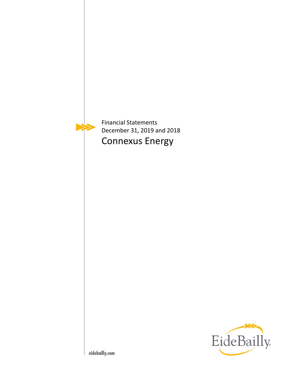

Financial Statements December 31, 2019 and 2018 Connexus Energy

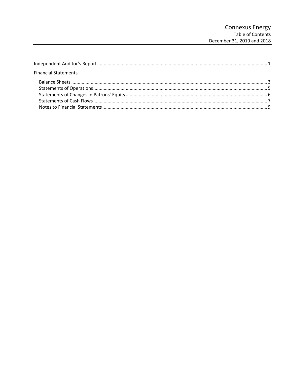| <b>Financial Statements</b> |  |
|-----------------------------|--|
|                             |  |
|                             |  |
|                             |  |
|                             |  |
|                             |  |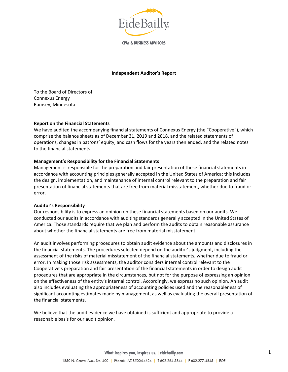

**CPAs & BUSINESS ADVISORS** 

#### **Independent Auditor's Report**

To the Board of Directors of Connexus Energy Ramsey, Minnesota

#### **Report on the Financial Statements**

We have audited the accompanying financial statements of Connexus Energy (the "Cooperative"), which comprise the balance sheets as of December 31, 2019 and 2018, and the related statements of operations, changes in patrons' equity, and cash flows for the years then ended, and the related notes to the financial statements.

#### **Management's Responsibility for the Financial Statements**

Management is responsible for the preparation and fair presentation of these financial statements in accordance with accounting principles generally accepted in the United States of America; this includes the design, implementation, and maintenance of internal control relevant to the preparation and fair presentation of financial statements that are free from material misstatement, whether due to fraud or error.

#### **Auditor's Responsibility**

Our responsibility is to express an opinion on these financial statements based on our audits. We conducted our audits in accordance with auditing standards generally accepted in the United States of America. Those standards require that we plan and perform the audits to obtain reasonable assurance about whether the financial statements are free from material misstatement.

An audit involves performing procedures to obtain audit evidence about the amounts and disclosures in the financial statements. The procedures selected depend on the auditor's judgment, including the assessment of the risks of material misstatement of the financial statements, whether due to fraud or error. In making those risk assessments, the auditor considers internal control relevant to the Cooperative's preparation and fair presentation of the financial statements in order to design audit procedures that are appropriate in the circumstances, but not for the purpose of expressing an opinion on the effectiveness of the entity's internal control. Accordingly, we express no such opinion. An audit also includes evaluating the appropriateness of accounting policies used and the reasonableness of significant accounting estimates made by management, as well as evaluating the overall presentation of the financial statements.

We believe that the audit evidence we have obtained is sufficient and appropriate to provide a reasonable basis for our audit opinion.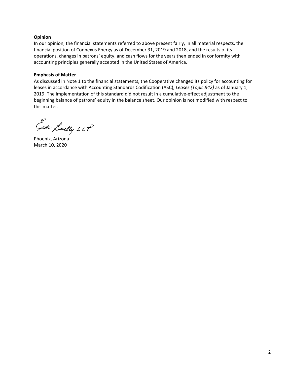# **Opinion**

In our opinion, the financial statements referred to above present fairly, in all material respects, the financial position of Connexus Energy as of December 31, 2019 and 2018, and the results of its operations, changes in patrons' equity, and cash flows for the years then ended in conformity with accounting principles generally accepted in the United States of America.

# **Emphasis of Matter**

As discussed in Note 1 to the financial statements, the Cooperative changed its policy for accounting for leases in accordance with Accounting Standards Codification (ASC), *Leases (Topic 842)* as of January 1, 2019. The implementation of this standard did not result in a cumulative-effect adjustment to the beginning balance of patrons' equity in the balance sheet. Our opinion is not modified with respect to this matter.

Gide Sailly LLP

Phoenix, Arizona March 10, 2020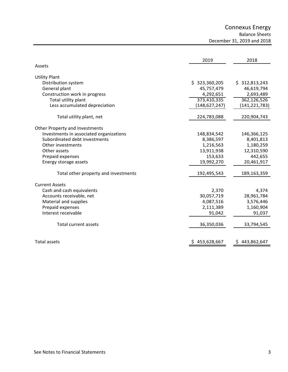Connexus Energy

Balance Sheets

December 31, 2019 and 2018

|                                         | 2019            | 2018            |
|-----------------------------------------|-----------------|-----------------|
| Assets                                  |                 |                 |
| <b>Utility Plant</b>                    |                 |                 |
| Distribution system                     | \$323,360,205   | \$312,813,243   |
| General plant                           | 45,757,479      | 46,619,794      |
| Construction work in progress           | 4,292,651       | 2,693,489       |
| Total utility plant                     | 373,410,335     | 362,126,526     |
| Less accumulated depreciation           | (148, 627, 247) | (141, 221, 783) |
| Total utility plant, net                | 224,783,088     | 220,904,743     |
| Other Property and Investments          |                 |                 |
| Investments in associated organizations | 148,834,542     | 146,366,125     |
| Subordinated debt investments           | 8,386,597       | 8,401,813       |
| Other investments                       | 1,216,563       | 1,180,259       |
| Other assets                            | 13,911,938      | 12,310,590      |
| Prepaid expenses                        | 153,633         | 442,655         |
| Energy storage assets                   | 19,992,270      | 20,461,917      |
| Total other property and investments    | 192,495,543     | 189,163,359     |
| <b>Current Assets</b>                   |                 |                 |
| Cash and cash equivalents               | 2,370           | 4,374           |
| Accounts receivable, net                | 30,057,719      | 28,961,784      |
| Material and supplies                   | 4,087,516       | 3,576,446       |
| Prepaid expenses                        | 2,111,389       | 1,160,904       |
| Interest receivable                     | 91,042          | 91,037          |
| <b>Total current assets</b>             | 36,350,036      | 33,794,545      |
| <b>Total assets</b>                     | 453,628,667     | 443,862,647     |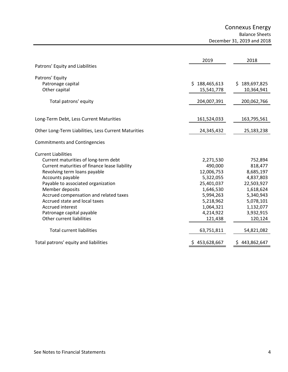Connexus Energy

Balance Sheets

December 31, 2019 and 2018

|                                                      | 2019          | 2018              |
|------------------------------------------------------|---------------|-------------------|
| Patrons' Equity and Liabilities                      |               |                   |
| Patrons' Equity                                      |               |                   |
| Patronage capital                                    | \$188,465,613 | \$189,697,825     |
| Other capital                                        | 15,541,778    | 10,364,941        |
| Total patrons' equity                                | 204,007,391   | 200,062,766       |
|                                                      |               |                   |
| Long-Term Debt, Less Current Maturities              | 161,524,033   | 163,795,561       |
| Other Long-Term Liabilities, Less Current Maturities | 24,345,432    | 25,183,238        |
| <b>Commitments and Contingencies</b>                 |               |                   |
| <b>Current Liabilities</b>                           |               |                   |
| Current maturities of long-term debt                 | 2,271,530     | 752,894           |
| Current maturities of finance lease liability        | 490,000       | 818,477           |
| Revolving term loans payable                         | 12,006,753    | 8,685,197         |
| Accounts payable                                     | 5,322,055     | 4,837,803         |
| Payable to associated organization                   | 25,401,037    | 22,503,927        |
| Member deposits                                      | 1,646,530     | 1,618,624         |
| Accrued compensation and related taxes               | 5,994,263     | 5,340,943         |
| Accrued state and local taxes                        | 5,218,962     | 5,078,101         |
| <b>Accrued interest</b>                              | 1,064,321     | 1,132,077         |
| Patronage capital payable                            | 4,214,922     | 3,932,915         |
| Other current liabilities                            | 121,438       | 120,124           |
| <b>Total current liabilities</b>                     | 63,751,811    | 54,821,082        |
| Total patrons' equity and liabilities                | 453,628,667   | 443,862,647<br>S. |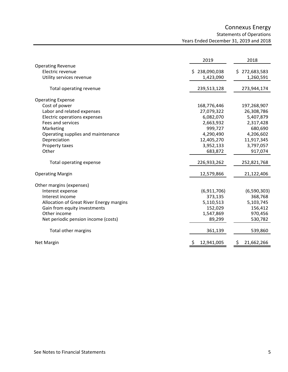# Connexus Energy Statements of Operations Years Ended December 31, 2019 and 2018

|                                          | 2019              | 2018              |
|------------------------------------------|-------------------|-------------------|
| <b>Operating Revenue</b>                 |                   |                   |
| Electric revenue                         | 238,090,038<br>Ś. | 272,683,583<br>S. |
| Utility services revenue                 | 1,423,090         | 1,260,591         |
| Total operating revenue                  | 239,513,128       | 273,944,174       |
| <b>Operating Expense</b>                 |                   |                   |
| Cost of power                            | 168,776,446       | 197,268,907       |
| Labor and related expenses               | 27,079,322        | 26,308,786        |
| Electric operations expenses             | 6,082,070         | 5,407,879         |
| Fees and services                        | 2,663,932         | 2,317,428         |
| Marketing                                | 999,727           | 680,690           |
| Operating supplies and maintenance       | 4,290,490         | 4,206,602         |
| Depreciation                             | 12,405,270        | 11,917,345        |
| Property taxes                           | 3,952,133         | 3,797,057         |
| Other                                    | 683,872           | 917,074           |
| Total operating expense                  | 226,933,262       | 252,821,768       |
| <b>Operating Margin</b>                  | 12,579,866        | 21,122,406        |
| Other margins (expenses)                 |                   |                   |
| Interest expense                         | (6,911,706)       | (6,590,303)       |
| Interest income                          | 373,135           | 368,768           |
| Allocation of Great River Energy margins | 5,110,513         | 5,103,745         |
| Gain from equity investments             | 152,029           | 156,412           |
| Other income                             | 1,547,869         | 970,456           |
| Net periodic pension income (costs)      | 89,299            | 530,782           |
| Total other margins                      | 361,139           | 539,860           |
| <b>Net Margin</b>                        | 12,941,005        | \$<br>21,662,266  |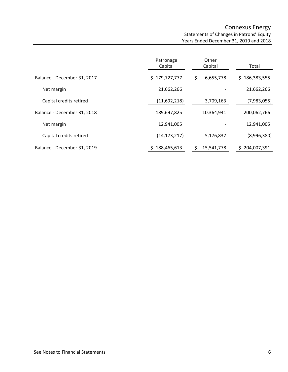# Connexus Energy Statements of Changes in Patrons' Equity Years Ended December 31, 2019 and 2018

|                             | Patronage<br>Capital | Other<br>Capital | Total         |
|-----------------------------|----------------------|------------------|---------------|
| Balance - December 31, 2017 | \$179,727,777        | \$<br>6,655,778  | \$186,383,555 |
| Net margin                  | 21,662,266           |                  | 21,662,266    |
| Capital credits retired     | (11,692,218)         | 3,709,163        | (7,983,055)   |
| Balance - December 31, 2018 | 189,697,825          | 10,364,941       | 200,062,766   |
| Net margin                  | 12,941,005           |                  | 12,941,005    |
| Capital credits retired     | (14, 173, 217)       | 5,176,837        | (8,996,380)   |
| Balance - December 31, 2019 | 188,465,613          | 15,541,778       | 204,007,391   |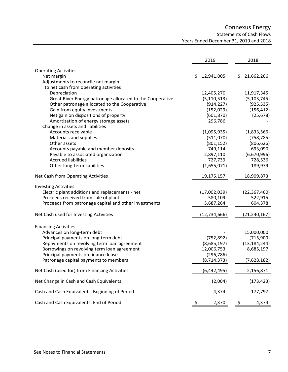# Connexus Energy Statements of Cash Flows Years Ended December 31, 2019 and 2018

|                                                           | 2019             | 2018             |
|-----------------------------------------------------------|------------------|------------------|
| <b>Operating Activities</b>                               |                  |                  |
| Net margin                                                | 12,941,005<br>Ŝ. | 21,662,266<br>S. |
| Adjustments to reconcile net margin                       |                  |                  |
| to net cash from operating activities                     |                  |                  |
| Depreciation                                              | 12,405,270       | 11,917,345       |
| Great River Energy patronage allocated to the Cooperative | (5, 110, 513)    | (5, 103, 745)    |
| Other patronage allocated to the Cooperative              | (914, 227)       | (925, 535)       |
| Gain from equity investments                              | (152, 029)       | (156, 412)       |
| Net gain on dispositions of property                      | (601, 870)       | (25, 678)        |
| Amortization of energy storage assets                     | 296,786          |                  |
| Change in assets and liabilities                          |                  |                  |
| Accounts receivable                                       | (1,095,935)      | (1,833,566)      |
| Materials and supplies                                    | (511,070)        | (758, 785)       |
| Other assets                                              | (801, 152)       | (806, 626)       |
| Accounts payable and member deposits                      | 749,114          | 693,090          |
| Payable to associated organization                        | 2,897,110        | (6,670,996)      |
| <b>Accrued liabilities</b>                                | 727,739          | 728,536          |
| Other long-term liabilities                               | (1,655,071)      | 189,979          |
|                                                           |                  |                  |
| Net Cash from Operating Activities                        | 19,175,157       | 18,909,873       |
| <b>Investing Activities</b>                               |                  |                  |
| Electric plant additions and replacements - net           | (17,002,039)     | (22, 367, 460)   |
| Proceeds received from sale of plant                      | 580,109          | 522,915          |
| Proceeds from patronage capital and other investments     | 3,687,264        | 604,378          |
| Net Cash used for Investing Activities                    | (12, 734, 666)   | (21, 240, 167)   |
|                                                           |                  |                  |
| <b>Financing Activities</b>                               |                  |                  |
| Advances on long-term debt                                |                  | 15,000,000       |
| Principal payments on long-term debt                      | (752, 892)       | (715,900)        |
| Repayments on revolving term loan agreement               | (8,685,197)      | (13, 184, 244)   |
| Borrowings on revolving term loan agreement               | 12,006,753       | 8,685,197        |
| Principal payments on finance lease                       | (296, 786)       |                  |
| Patronage capital payments to members                     | (8, 714, 373)    | (7,628,182)      |
| Net Cash (used for) from Financing Activities             | (6,442,495)      | 2,156,871        |
| Net Change in Cash and Cash Equivalents                   | (2,004)          | (173, 423)       |
| Cash and Cash Equivalents, Beginning of Period            | 4,374            | 177,797          |
| Cash and Cash Equivalents, End of Period                  | \$<br>2,370      | \$<br>4,374      |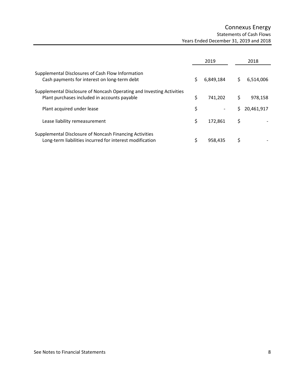# Connexus Energy Statements of Cash Flows Years Ended December 31, 2019 and 2018

|                                                                                                                       |    | 2019      |    | 2018       |
|-----------------------------------------------------------------------------------------------------------------------|----|-----------|----|------------|
| Supplemental Disclosures of Cash Flow Information<br>Cash payments for interest on long-term debt                     |    | 6,849,184 | S  | 6,514,006  |
| Supplemental Disclosure of Noncash Operating and Investing Activities<br>Plant purchases included in accounts payable | Ś  | 741.202   |    | 978.158    |
| Plant acquired under lease                                                                                            | \$ |           |    | 20,461,917 |
| Lease liability remeasurement                                                                                         |    | 172.861   | \$ |            |
| Supplemental Disclosure of Noncash Financing Activities<br>Long-term liabilities incurred for interest modification   |    | 958.435   |    |            |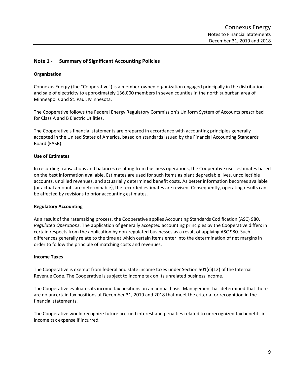# **Note 1 ‐ Summary of Significant Accounting Policies**

# **Organization**

Connexus Energy (the "Cooperative") is a member‐owned organization engaged principally in the distribution and sale of electricity to approximately 136,000 members in seven counties in the north suburban area of Minneapolis and St. Paul, Minnesota.

The Cooperative follows the Federal Energy Regulatory Commission's Uniform System of Accounts prescribed for Class A and B Electric Utilities.

The Cooperative's financial statements are prepared in accordance with accounting principles generally accepted in the United States of America, based on standards issued by the Financial Accounting Standards Board (FASB).

# **Use of Estimates**

In recording transactions and balances resulting from business operations, the Cooperative uses estimates based on the best information available. Estimates are used for such items as plant depreciable lives, uncollectible accounts, unbilled revenues, and actuarially determined benefit costs. As better information becomes available (or actual amounts are determinable), the recorded estimates are revised. Consequently, operating results can be affected by revisions to prior accounting estimates.

# **Regulatory Accounting**

As a result of the ratemaking process, the Cooperative applies Accounting Standards Codification (ASC) 980, *Regulated Operations*. The application of generally accepted accounting principles by the Cooperative differs in certain respects from the application by non‐regulated businesses as a result of applying ASC 980. Such differences generally relate to the time at which certain items enter into the determination of net margins in order to follow the principle of matching costs and revenues.

#### **Income Taxes**

The Cooperative is exempt from federal and state income taxes under Section 501(c)(12) of the Internal Revenue Code. The Cooperative is subject to income tax on its unrelated business income.

The Cooperative evaluates its income tax positions on an annual basis. Management has determined that there are no uncertain tax positions at December 31, 2019 and 2018 that meet the criteria for recognition in the financial statements.

The Cooperative would recognize future accrued interest and penalties related to unrecognized tax benefits in income tax expense if incurred.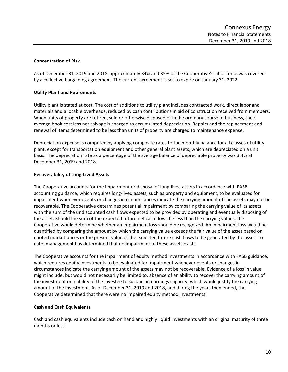# **Concentration of Risk**

As of December 31, 2019 and 2018, approximately 34% and 35% of the Cooperative's labor force was covered by a collective bargaining agreement. The current agreement is set to expire on January 31, 2022.

# **Utility Plant and Retirements**

Utility plant is stated at cost. The cost of additions to utility plant includes contracted work, direct labor and materials and allocable overheads, reduced by cash contributions in aid of construction received from members. When units of property are retired, sold or otherwise disposed of in the ordinary course of business, their average book cost less net salvage is charged to accumulated depreciation. Repairs and the replacement and renewal of items determined to be less than units of property are charged to maintenance expense.

Depreciation expense is computed by applying composite rates to the monthly balance for all classes of utility plant, except for transportation equipment and other general plant assets, which are depreciated on a unit basis. The depreciation rate as a percentage of the average balance of depreciable property was 3.4% at December 31, 2019 and 2018.

# **Recoverability of Long‐Lived Assets**

The Cooperative accounts for the impairment or disposal of long‐lived assets in accordance with FASB accounting guidance, which requires long‐lived assets, such as property and equipment, to be evaluated for impairment whenever events or changes in circumstances indicate the carrying amount of the assets may not be recoverable. The Cooperative determines potential impairment by comparing the carrying value of its assets with the sum of the undiscounted cash flows expected to be provided by operating and eventually disposing of the asset. Should the sum of the expected future net cash flows be less than the carrying values, the Cooperative would determine whether an impairment loss should be recognized. An impairment loss would be quantified by comparing the amount by which the carrying value exceeds the fair value of the asset based on quoted market prices or the present value of the expected future cash flows to be generated by the asset. To date, management has determined that no impairment of these assets exists.

The Cooperative accounts for the impairment of equity method investments in accordance with FASB guidance, which requires equity investments to be evaluated for impairment whenever events or changes in circumstances indicate the carrying amount of the assets may not be recoverable. Evidence of a loss in value might include, but would not necessarily be limited to, absence of an ability to recover the carrying amount of the investment or inability of the investee to sustain an earnings capacity, which would justify the carrying amount of the investment. As of December 31, 2019 and 2018, and during the years then ended, the Cooperative determined that there were no impaired equity method investments.

# **Cash and Cash Equivalents**

Cash and cash equivalents include cash on hand and highly liquid investments with an original maturity of three months or less.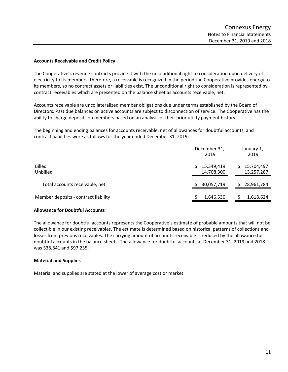# **Accounts Receivable and Credit Policy**

The Cooperative's revenue contracts provide it with the unconditional right to consideration upon delivery of electricity to its members; therefore, a receivable is recognized in the period the Cooperative provides energy to its members, so no contract assets or liabilities exist. The unconditional right to consideration is represented by contract receivables which are presented on the balance sheet as accounts receivable, net.

Accounts receivable are uncollateralized member obligations due under terms established by the Board of Directors. Past due balances on active accounts are subject to disconnection of service. The Cooperative has the ability to charge deposits on members based on an analysis of their prior utility payment history.

The beginning and ending balances for accounts receivable, net of allowances for doubtful accounts, and contract liabilities were as follows for the year ended December 31, 2019:

|                                      | December 31,<br>2019           | January 1,<br>2019             |
|--------------------------------------|--------------------------------|--------------------------------|
| <b>Billed</b><br>Unbilled            | 15,349,419<br>S.<br>14,708,300 | 15,704,497<br>S.<br>13,257,287 |
| Total accounts receivable, net       | 30,057,719                     | 28,961,784                     |
| Member deposits - contract liability | 1,646,530                      | 1,618,624                      |

# **Allowance for Doubtful Accounts**

The allowance for doubtful accounts represents the Cooperative's estimate of probable amounts that will not be collectible in our existing receivables. The estimate is determined based on historical patterns of collections and losses from previous receivables. The carrying amount of accounts receivable is reduced by the allowance for doubtful accounts in the balance sheets. The allowance for doubtful accounts at December 31, 2019 and 2018 was \$38,841 and \$97,235.

# **Material and Supplies**

Material and supplies are stated at the lower of average cost or market.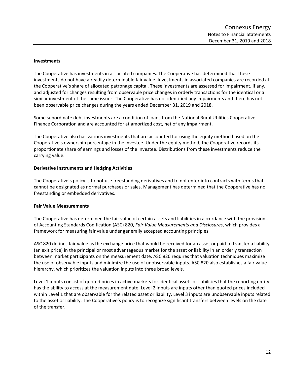# **Investments**

The Cooperative has investments in associated companies. The Cooperative has determined that these investments do not have a readily determinable fair value. Investments in associated companies are recorded at the Cooperative's share of allocated patronage capital. These investments are assessed for impairment, if any, and adjusted for changes resulting from observable price changes in orderly transactions for the identical or a similar investment of the same issuer. The Cooperative has not identified any impairments and there has not been observable price changes during the years ended December 31, 2019 and 2018.

Some subordinate debt investments are a condition of loans from the National Rural Utilities Cooperative Finance Corporation and are accounted for at amortized cost, net of any impairment.

The Cooperative also has various investments that are accounted for using the equity method based on the Cooperative's ownership percentage in the investee. Under the equity method, the Cooperative records its proportionate share of earnings and losses of the investee. Distributions from these investments reduce the carrying value.

# **Derivative Instruments and Hedging Activities**

The Cooperative's policy is to not use freestanding derivatives and to not enter into contracts with terms that cannot be designated as normal purchases or sales. Management has determined that the Cooperative has no freestanding or embedded derivatives.

# **Fair Value Measurements**

The Cooperative has determined the fair value of certain assets and liabilities in accordance with the provisions of Accounting Standards Codification (ASC) 820, *Fair Value Measurements and Disclosures*, which provides a framework for measuring fair value under generally accepted accounting principles

ASC 820 defines fair value as the exchange price that would be received for an asset or paid to transfer a liability (an exit price) in the principal or most advantageous market for the asset or liability in an orderly transaction between market participants on the measurement date. ASC 820 requires that valuation techniques maximize the use of observable inputs and minimize the use of unobservable inputs. ASC 820 also establishes a fair value hierarchy, which prioritizes the valuation inputs into three broad levels.

Level 1 inputs consist of quoted prices in active markets for identical assets or liabilities that the reporting entity has the ability to access at the measurement date. Level 2 inputs are inputs other than quoted prices included within Level 1 that are observable for the related asset or liability. Level 3 inputs are unobservable inputs related to the asset or liability. The Cooperative's policy is to recognize significant transfers between levels on the date of the transfer.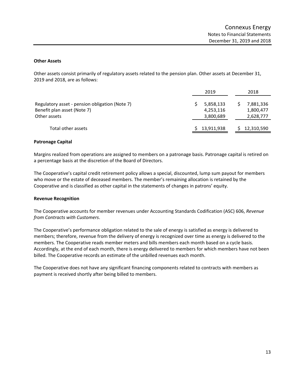### **Other Assets**

Other assets consist primarily of regulatory assets related to the pension plan. Other assets at December 31, 2019 and 2018, are as follows:

|                                                                                               | 2019                                | 2018                                |
|-----------------------------------------------------------------------------------------------|-------------------------------------|-------------------------------------|
| Regulatory asset - pension obligation (Note 7)<br>Benefit plan asset (Note 7)<br>Other assets | 5,858,133<br>4,253,116<br>3,800,689 | 7,881,336<br>1,800,477<br>2,628,777 |
| Total other assets                                                                            | 13,911,938                          | 12,310,590                          |

#### **Patronage Capital**

Margins realized from operations are assigned to members on a patronage basis. Patronage capital is retired on a percentage basis at the discretion of the Board of Directors.

The Cooperative's capital credit retirement policy allows a special, discounted, lump sum payout for members who move or the estate of deceased members. The member's remaining allocation is retained by the Cooperative and is classified as other capital in the statements of changes in patrons' equity.

# **Revenue Recognition**

The Cooperative accounts for member revenues under Accounting Standards Codification (ASC) 606, *Revenue from Contracts with Customers*.

The Cooperative's performance obligation related to the sale of energy is satisfied as energy is delivered to members; therefore, revenue from the delivery of energy is recognized over time as energy is delivered to the members. The Cooperative reads member meters and bills members each month based on a cycle basis. Accordingly, at the end of each month, there is energy delivered to members for which members have not been billed. The Cooperative records an estimate of the unbilled revenues each month.

The Cooperative does not have any significant financing components related to contracts with members as payment is received shortly after being billed to members.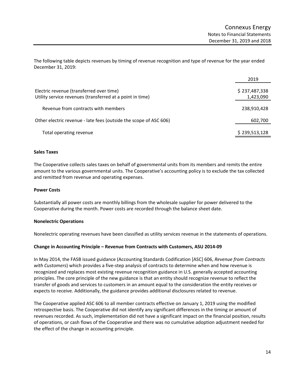The following table depicts revenues by timing of revenue recognition and type of revenue for the year ended December 31, 2019:

|                                                                                                       | 2019                       |
|-------------------------------------------------------------------------------------------------------|----------------------------|
| Electric revenue (transferred over time)<br>Utility service revenues (transferred at a point in time) | \$237,487,338<br>1,423,090 |
| Revenue from contracts with members                                                                   | 238,910,428                |
| Other electric revenue - late fees (outside the scope of ASC 606)                                     | 602,700                    |
| Total operating revenue                                                                               | \$239,513,128              |

# **Sales Taxes**

The Cooperative collects sales taxes on behalf of governmental units from its members and remits the entire amount to the various governmental units. The Cooperative's accounting policy is to exclude the tax collected and remitted from revenue and operating expenses.

# **Power Costs**

Substantially all power costs are monthly billings from the wholesale supplier for power delivered to the Cooperative during the month. Power costs are recorded through the balance sheet date.

# **Nonelectric Operations**

Nonelectric operating revenues have been classified as utility services revenue in the statements of operations.

# **Change in Accounting Principle – Revenue from Contracts with Customers, ASU 2014‐09**

In May 2014, the FASB issued guidance (Accounting Standards Codification [ASC] 606, *Revenue from Contracts with Customers*) which provides a five‐step analysis of contracts to determine when and how revenue is recognized and replaces most existing revenue recognition guidance in U.S. generally accepted accounting principles. The core principle of the new guidance is that an entity should recognize revenue to reflect the transfer of goods and services to customers in an amount equal to the consideration the entity receives or expects to receive. Additionally, the guidance provides additional disclosures related to revenue.

The Cooperative applied ASC 606 to all member contracts effective on January 1, 2019 using the modified retrospective basis. The Cooperative did not identify any significant differences in the timing or amount of revenues recorded. As such, implementation did not have a significant impact on the financial position, results of operations, or cash flows of the Cooperative and there was no cumulative adoption adjustment needed for the effect of the change in accounting principle.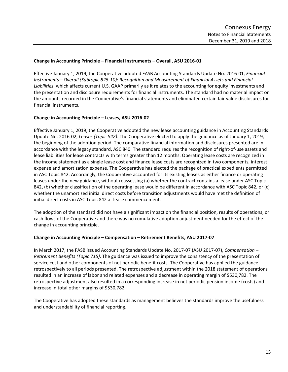# **Change in Accounting Principle – Financial Instruments – Overall, ASU 2016‐01**

Effective January 1, 2019, the Cooperative adopted FASB Accounting Standards Update No. 2016‐01, *Financial Instruments—Overall (Subtopic 825‐10): Recognition and Measurement of Financial Assets and Financial Liabilities*, which affects current U.S. GAAP primarily as it relates to the accounting for equity investments and the presentation and disclosure requirements for financial instruments. The standard had no material impact on the amounts recorded in the Cooperative's financial statements and eliminated certain fair value disclosures for financial instruments.

# **Change in Accounting Principle – Leases, ASU 2016‐02**

Effective January 1, 2019, the Cooperative adopted the new lease accounting guidance in Accounting Standards Update No. 2016‐02, *Leases (Topic 842)*. The Cooperative elected to apply the guidance as of January 1, 2019, the beginning of the adoption period. The comparative financial information and disclosures presented are in accordance with the legacy standard, ASC 840. The standard requires the recognition of right‐of‐use assets and lease liabilities for lease contracts with terms greater than 12 months. Operating lease costs are recognized in the income statement as a single lease cost and finance lease costs are recognized in two components, interest expense and amortization expense. The Cooperative has elected the package of practical expedients permitted in ASC Topic 842. Accordingly, the Cooperative accounted for its existing leases as either finance or operating leases under the new guidance, without reassessing (a) whether the contract contains a lease under ASC Topic 842, (b) whether classification of the operating lease would be different in accordance with ASC Topic 842, or (c) whether the unamortized initial direct costs before transition adjustments would have met the definition of initial direct costs in ASC Topic 842 at lease commencement.

The adoption of the standard did not have a significant impact on the financial position, results of operations, or cash flows of the Cooperative and there was no cumulative adoption adjustment needed for the effect of the change in accounting principle.

# **Change in Accounting Principle – Compensation – Retirement Benefits, ASU 2017‐07**

In March 2017, the FASB issued Accounting Standards Update No. 2017‐07 (ASU 2017‐07), *Compensation – Retirement Benefits (Topic 715)*. The guidance was issued to improve the consistency of the presentation of service cost and other components of net periodic benefit costs. The Cooperative has applied the guidance retrospectively to all periods presented. The retrospective adjustment within the 2018 statement of operations resulted in an increase of labor and related expenses and a decrease in operating margin of \$530,782. The retrospective adjustment also resulted in a corresponding increase in net periodic pension income (costs) and increase in total other margins of \$530,782.

The Cooperative has adopted these standards as management believes the standards improve the usefulness and understandability of financial reporting.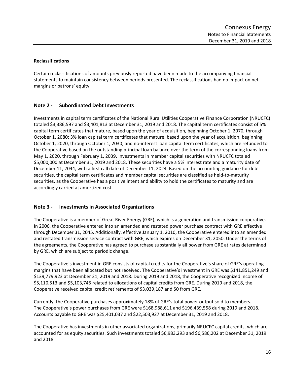# **Reclassifications**

Certain reclassifications of amounts previously reported have been made to the accompanying financial statements to maintain consistency between periods presented. The reclassifications had no impact on net margins or patrons' equity.

# **Note 2 ‐ Subordinated Debt Investments**

Investments in capital term certificates of the National Rural Utilities Cooperative Finance Corporation (NRUCFC) totaled \$3,386,597 and \$3,401,813 at December 31, 2019 and 2018. The capital term certificates consist of 5% capital term certificates that mature, based upon the year of acquisition, beginning October 1, 2070, through October 1, 2080; 3% loan capital term certificates that mature, based upon the year of acquisition, beginning October 1, 2020, through October 1, 2030; and no‐interest loan capital term certificates, which are refunded to the Cooperative based on the outstanding principal loan balance over the term of the corresponding loans from May 1, 2020, through February 1, 2039. Investments in member capital securities with NRUCFC totaled \$5,000,000 at December 31, 2019 and 2018. These securities have a 5% interest rate and a maturity date of December 11, 2044, with a first call date of December 11, 2024. Based on the accounting guidance for debt securities, the capital term certificates and member capital securities are classified as held-to-maturity securities, as the Cooperative has a positive intent and ability to hold the certificates to maturity and are accordingly carried at amortized cost.

# **Note 3 ‐ Investments in Associated Organizations**

The Cooperative is a member of Great River Energy (GRE), which is a generation and transmission cooperative. In 2006, the Cooperative entered into an amended and restated power purchase contract with GRE effective through December 31, 2045. Additionally, effective January 1, 2010, the Cooperative entered into an amended and restated transmission service contract with GRE, which expires on December 31, 2050. Under the terms of the agreements, the Cooperative has agreed to purchase substantially all power from GRE at rates determined by GRE, which are subject to periodic change.

The Cooperative's investment in GRE consists of capital credits for the Cooperative's share of GRE's operating margins that have been allocated but not received. The Cooperative's investment in GRE was \$141,851,249 and \$139,779,923 at December 31, 2019 and 2018. During 2019 and 2018, the Cooperative recognized income of \$5,110,513 and \$5,103,745 related to allocations of capital credits from GRE. During 2019 and 2018, the Cooperative received capital credit retirements of \$3,039,187 and \$0 from GRE.

Currently, the Cooperative purchases approximately 18% of GRE's total power output sold to members. The Cooperative's power purchases from GRE were \$168,988,611 and \$196,439,558 during 2019 and 2018. Accounts payable to GRE was \$25,401,037 and \$22,503,927 at December 31, 2019 and 2018.

The Cooperative has investments in other associated organizations, primarily NRUCFC capital credits, which are accounted for as equity securities. Such investments totaled \$6,983,293 and \$6,586,202 at December 31, 2019 and 2018.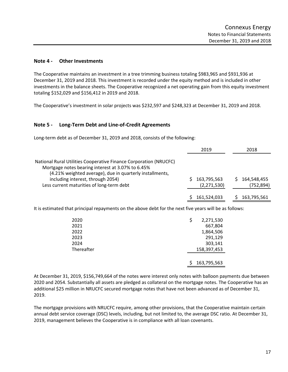# **Note 4 ‐ Other Investments**

The Cooperative maintains an investment in a tree trimming business totaling \$983,965 and \$931,936 at December 31, 2019 and 2018. This investment is recorded under the equity method and is included in other investments in the balance sheets. The Cooperative recognized a net operating gain from this equity investment totaling \$152,029 and \$156,412 in 2019 and 2018.

The Cooperative's investment in solar projects was \$232,597 and \$248,323 at December 31, 2019 and 2018.

# **Note 5 ‐ Long‐Term Debt and Line‐of‐Credit Agreements**

Long-term debt as of December 31, 2019 and 2018, consists of the following:

|                                                                                                                                                                                                                                                                      | 2019                       | 2018                      |
|----------------------------------------------------------------------------------------------------------------------------------------------------------------------------------------------------------------------------------------------------------------------|----------------------------|---------------------------|
| National Rural Utilities Cooperative Finance Corporation (NRUCFC)<br>Mortgage notes bearing interest at 3.07% to 6.45%<br>(4.21% weighted average), due in quarterly installments,<br>including interest, through 2054)<br>Less current maturities of long-term debt | 163,795,563<br>(2,271,530) | 164,548,455<br>(752, 894) |
|                                                                                                                                                                                                                                                                      | 161,524,033                | 163,795,561               |

It is estimated that principal repayments on the above debt for the next five years will be as follows:

| 2020       | 2,271,530   |
|------------|-------------|
| 2021       | 667,804     |
| 2022       | 1,864,506   |
| 2023       | 291,129     |
| 2024       | 303,141     |
| Thereafter | 158,397,453 |
|            |             |
|            | 163,795,563 |

At December 31, 2019, \$156,749,664 of the notes were interest only notes with balloon payments due between 2020 and 2054. Substantially all assets are pledged as collateral on the mortgage notes. The Cooperative has an additional \$25 million in NRUCFC secured mortgage notes that have not been advanced as of December 31, 2019.

The mortgage provisions with NRUCFC require, among other provisions, that the Cooperative maintain certain annual debt service coverage (DSC) levels, including, but not limited to, the average DSC ratio. At December 31, 2019, management believes the Cooperative is in compliance with all loan covenants.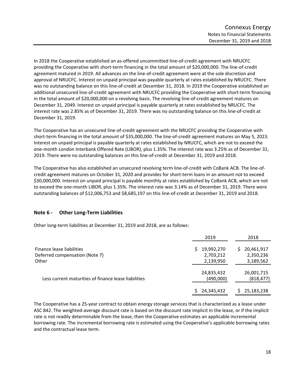In 2018 the Cooperative established an as‐offered uncommitted line‐of‐credit agreement with NRUCFC providing the Cooperative with short-term financing in the total amount of \$20,000,000. The line-of-credit agreement matured in 2019. All advances on the line‐of‐credit agreement were at the sole discretion and approval of NRUCFC. Interest on unpaid principal was payable quarterly at rates established by NRUCFC. There was no outstanding balance on this line-of-credit at December 31, 2018. In 2019 the Cooperative established an additional unsecured line-of-credit agreement with NRUCFC providing the Cooperative with short-term financing in the total amount of \$20,000,000 on a revolving basis. The revolving line‐of‐credit agreement matures on December 31, 2049. Interest on unpaid principal is payable quarterly at rates established by NRUCFC. The interest rate was 2.85% as of December 31, 2019. There was no outstanding balance on this line‐of‐credit at December 31, 2019.

The Cooperative has an unsecured line‐of‐credit agreement with the NRUCFC providing the Cooperative with short-term financing in the total amount of \$35,000,000. The line-of-credit agreement matures on May 5, 2023. Interest on unpaid principal is payable quarterly at rates established by NRUCFC, which are not to exceed the one‐month London Interbank Offered Rate (LIBOR), plus 1.35%. The interest rate was 3.25% as of December 31, 2019. There were no outstanding balances on this line‐of‐credit at December 31, 2019 and 2018.

The Cooperative has also established an unsecured revolving term line‐of‐credit with CoBank ACB. The line‐of‐ credit agreement matures on October 31, 2020 and provides for short‐term loans in an amount not to exceed \$30,000,000. Interest on unpaid principal is payable monthly at rates established by CoBank ACB, which are not to exceed the one‐month LIBOR, plus 1.35%. The interest rate was 3.14% as of December 31, 2019. There were outstanding balances of \$12,006,753 and \$8,685,197 on this line‐of‐credit at December 31, 2019 and 2018.

# **Note 6 ‐ Other Long‐Term Liabilities**

Other long‐term liabilities at December 31, 2019 and 2018, are as follows:

|                                                      | 2019       | 2018             |
|------------------------------------------------------|------------|------------------|
| Finance lease liabilities                            | 19,992,270 | 20,461,917<br>S. |
| Deferred compensation (Note 7)                       | 2,703,212  | 2,350,236        |
| Other                                                | 2,139,950  | 3,189,562        |
|                                                      | 24,835,432 | 26,001,715       |
| Less current maturities of finance lease liabilities | (490,000)  | (818, 477)       |
|                                                      | 24,345,432 | 25,183,238       |

The Cooperative has a 25‐year contract to obtain energy storage services that is characterized as a lease under ASC 842. The weighted‐average discount rate is based on the discount rate implicit in the lease, or if the implicit rate is not readily determinable from the lease, then the Cooperative estimates an applicable incremental borrowing rate. The incremental borrowing rate is estimated using the Cooperative's applicable borrowing rates and the contractual lease term.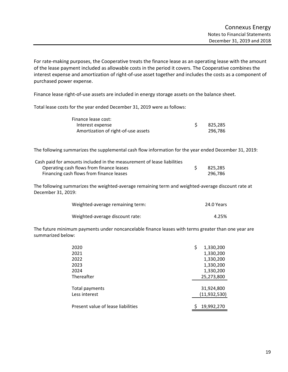For rate‐making purposes, the Cooperative treats the finance lease as an operating lease with the amount of the lease payment included as allowable costs in the period it covers. The Cooperative combines the interest expense and amortization of right‐of‐use asset together and includes the costs as a component of purchased power expense.

Finance lease right-of-use assets are included in energy storage assets on the balance sheet.

Total lease costs for the year ended December 31, 2019 were as follows:

| Finance lease cost:                 |         |
|-------------------------------------|---------|
| Interest expense                    | 825,285 |
| Amortization of right-of-use assets | 296.786 |

The following summarizes the supplemental cash flow information for the year ended December 31, 2019:

| Cash paid for amounts included in the measurement of lease liabilities |         |
|------------------------------------------------------------------------|---------|
| Operating cash flows from finance leases                               | 825.285 |
| Financing cash flows from finance leases                               | 296.786 |

The following summarizes the weighted‐average remaining term and weighted‐average discount rate at December 31, 2019:

| Weighted-average remaining term: | 24.0 Years |
|----------------------------------|------------|
| Weighted-average discount rate:  | 4.25%      |

The future minimum payments under noncancelable finance leases with terms greater than one year are summarized below:

| 2020                               | \$<br>1,330,200 |
|------------------------------------|-----------------|
| 2021                               | 1,330,200       |
| 2022                               | 1,330,200       |
| 2023                               | 1,330,200       |
| 2024                               | 1,330,200       |
| Thereafter                         | 25,273,800      |
|                                    |                 |
| Total payments                     | 31,924,800      |
| Less interest                      | (11, 932, 530)  |
|                                    |                 |
| Present value of lease liabilities | 19,992,270      |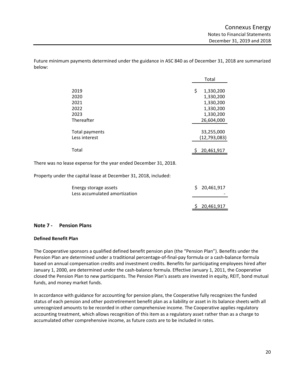Future minimum payments determined under the guidance in ASC 840 as of December 31, 2018 are summarized below:

|                                                    | Total |                                                                             |
|----------------------------------------------------|-------|-----------------------------------------------------------------------------|
| 2019<br>2020<br>2021<br>2022<br>2023<br>Thereafter | \$    | 1,330,200<br>1,330,200<br>1,330,200<br>1,330,200<br>1,330,200<br>26,604,000 |
|                                                    |       |                                                                             |
| Total payments<br>Less interest                    |       | 33,255,000<br>(12, 793, 083)                                                |
| Total                                              |       | 20,461,917                                                                  |

There was no lease expense for the year ended December 31, 2018.

Property under the capital lease at December 31, 2018, included:

| Energy storage assets<br>Less accumulated amortization |  | \$20,461,917 |
|--------------------------------------------------------|--|--------------|
|                                                        |  | \$20,461,917 |

# **Note 7 ‐ Pension Plans**

# **Defined Benefit Plan**

The Cooperative sponsors a qualified defined benefit pension plan (the "Pension Plan"). Benefits under the Pension Plan are determined under a traditional percentage‐of‐final‐pay formula or a cash‐balance formula based on annual compensation credits and investment credits. Benefits for participating employees hired after January 1, 2000, are determined under the cash-balance formula. Effective January 1, 2011, the Cooperative closed the Pension Plan to new participants. The Pension Plan's assets are invested in equity, REIT, bond mutual funds, and money market funds.

In accordance with guidance for accounting for pension plans, the Cooperative fully recognizes the funded status of each pension and other postretirement benefit plan as a liability or asset in its balance sheets with all unrecognized amounts to be recorded in other comprehensive income. The Cooperative applies regulatory accounting treatment, which allows recognition of this item as a regulatory asset rather than as a charge to accumulated other comprehensive income, as future costs are to be included in rates.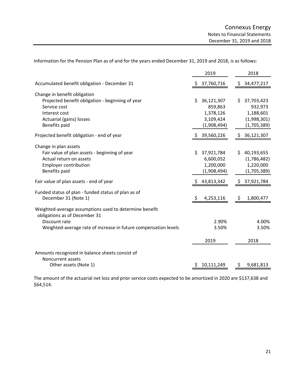Information for the Pension Plan as of and for the years ended December 31, 2019 and 2018, is as follows:

|                                                                                         | 2019              | 2018             |
|-----------------------------------------------------------------------------------------|-------------------|------------------|
| Accumulated benefit obligation - December 31                                            | 37,760,716        | \$34,477,217     |
| Change in benefit obligation                                                            |                   |                  |
| Projected benefit obligation - beginning of year                                        | Ś.<br>36,121,307  | \$<br>37,703,423 |
| Service cost                                                                            | 859,863           | 932,973          |
| Interest cost                                                                           | 1,378,126         | 1,188,601        |
| Actuarial (gains) losses                                                                | 3,109,424         | (1,998,301)      |
| Benefits paid                                                                           | (1,908,494)       | (1,705,389)      |
| Projected benefit obligation - end of year                                              | 39,560,226<br>Ş.  | \$36,121,307     |
| Change in plan assets                                                                   |                   |                  |
| Fair value of plan assets - beginning of year                                           | \$.<br>37,921,784 | \$40,193,655     |
| Actual return on assets                                                                 | 6,600,052         | (1,786,482)      |
| <b>Employer contribution</b>                                                            | 1,200,000         | 1,220,000        |
| Benefits paid                                                                           | (1,908,494)       | (1,705,389)      |
| Fair value of plan assets - end of year                                                 | 43,813,342        | \$37,921,784     |
| Funded status of plan - funded status of plan as of                                     |                   |                  |
| December 31 (Note 1)                                                                    | 4,253,116<br>\$   | 1,800,477<br>\$  |
| Weighted-average assumptions used to determine benefit<br>obligations as of December 31 |                   |                  |
| Discount rate                                                                           | 2.90%             | 4.00%            |
| Weighted-average rate of increase in future compensation levels                         | 3.50%             | 3.50%            |
|                                                                                         | 2019              | 2018             |
| Amounts recognized in balance sheets consist of                                         |                   |                  |
| Noncurrent assets                                                                       |                   |                  |
| Other assets (Note 1)                                                                   | 10,111,249        | 9,681,813        |
|                                                                                         |                   |                  |

The amount of the actuarial net loss and prior service costs expected to be amortized in 2020 are \$137,638 and \$64,514.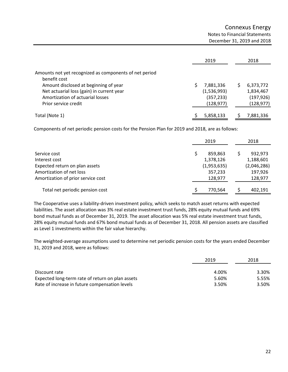|                                                                                                                                                                                                                          | 2019                                                 | 2018                                               |
|--------------------------------------------------------------------------------------------------------------------------------------------------------------------------------------------------------------------------|------------------------------------------------------|----------------------------------------------------|
| Amounts not yet recognized as components of net period<br>benefit cost<br>Amount disclosed at beginning of year<br>Net actuarial loss (gain) in current year<br>Amortization of actuarial losses<br>Prior service credit | 7,881,336<br>(1,536,993)<br>(357, 233)<br>(128, 977) | 6,373,772<br>1,834,467<br>(197, 926)<br>(128, 977) |
| Total (Note 1)                                                                                                                                                                                                           | 5,858,133                                            | 7,881,336                                          |

Components of net periodic pension costs for the Pension Plan for 2019 and 2018, are as follows:

|                                    | 2019        |  | 2018        |  |
|------------------------------------|-------------|--|-------------|--|
| Service cost                       | 859,863     |  | 932,973     |  |
| Interest cost                      | 1,378,126   |  | 1,188,601   |  |
| Expected return on plan assets     | (1,953,635) |  | (2,046,286) |  |
| Amortization of net loss           | 357,233     |  | 197,926     |  |
| Amortization of prior service cost | 128,977     |  | 128,977     |  |
| Total net periodic pension cost    | 770,564     |  | 402,191     |  |

The Cooperative uses a liability‐driven investment policy, which seeks to match asset returns with expected liabilities. The asset allocation was 3% real estate investment trust funds, 28% equity mutual funds and 69% bond mutual funds as of December 31, 2019. The asset allocation was 5% real estate investment trust funds, 28% equity mutual funds and 67% bond mutual funds as of December 31, 2018. All pension assets are classified as Level 1 investments within the fair value hierarchy.

The weighted‐average assumptions used to determine net periodic pension costs for the years ended December 31, 2019 and 2018, were as follows:

|                                                  | 2019  | 2018  |  |
|--------------------------------------------------|-------|-------|--|
| Discount rate                                    | 4.00% | 3.30% |  |
| Expected long-term rate of return on plan assets | 5.60% | 5.55% |  |
| Rate of increase in future compensation levels   | 3.50% | 3.50% |  |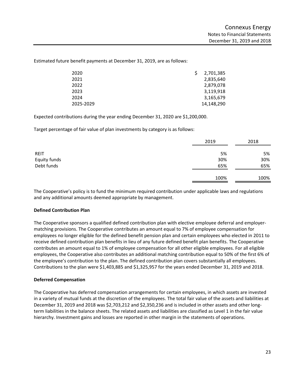Estimated future benefit payments at December 31, 2019, are as follows:

| 2020      | 2,701,385  |
|-----------|------------|
| 2021      | 2,835,640  |
| 2022      | 2,879,078  |
| 2023      | 3,119,918  |
| 2024      | 3,165,679  |
| 2025-2029 | 14,148,290 |

Expected contributions during the year ending December 31, 2020 are \$1,200,000.

Target percentage of fair value of plan investments by category is as follows:

|              | 2019 | 2018 |
|--------------|------|------|
| <b>REIT</b>  | 5%   | 5%   |
| Equity funds | 30%  | 30%  |
| Debt funds   | 65%  | 65%  |
|              | 100% | 100% |

The Cooperative's policy is to fund the minimum required contribution under applicable laws and regulations and any additional amounts deemed appropriate by management.

# **Defined Contribution Plan**

The Cooperative sponsors a qualified defined contribution plan with elective employee deferral and employer‐ matching provisions. The Cooperative contributes an amount equal to 7% of employee compensation for employees no longer eligible for the defined benefit pension plan and certain employees who elected in 2011 to receive defined contribution plan benefits in lieu of any future defined benefit plan benefits. The Cooperative contributes an amount equal to 1% of employee compensation for all other eligible employees. For all eligible employees, the Cooperative also contributes an additional matching contribution equal to 50% of the first 6% of the employee's contribution to the plan. The defined contribution plan covers substantially all employees. Contributions to the plan were \$1,403,885 and \$1,325,957 for the years ended December 31, 2019 and 2018.

#### **Deferred Compensation**

The Cooperative has deferred compensation arrangements for certain employees, in which assets are invested in a variety of mutual funds at the discretion of the employees. The total fair value of the assets and liabilities at December 31, 2019 and 2018 was \$2,703,212 and \$2,350,236 and is included in other assets and other longterm liabilities in the balance sheets. The related assets and liabilities are classified as Level 1 in the fair value hierarchy. Investment gains and losses are reported in other margin in the statements of operations.